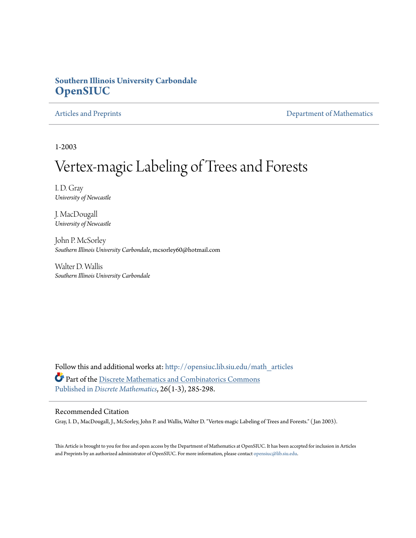# **Southern Illinois University Carbondale [OpenSIUC](http://opensiuc.lib.siu.edu?utm_source=opensiuc.lib.siu.edu%2Fmath_articles%2F85&utm_medium=PDF&utm_campaign=PDFCoverPages)**

[Articles and Preprints](http://opensiuc.lib.siu.edu/math_articles?utm_source=opensiuc.lib.siu.edu%2Fmath_articles%2F85&utm_medium=PDF&utm_campaign=PDFCoverPages) **[Department of Mathematics](http://opensiuc.lib.siu.edu/math?utm_source=opensiuc.lib.siu.edu%2Fmath_articles%2F85&utm_medium=PDF&utm_campaign=PDFCoverPages)** 

1-2003

# Vertex-magic Labeling of Trees and Forests

I. D. Gray *University of Newcastle*

J. MacDougall *University of Newcastle*

John P. McSorley *Southern Illinois University Carbondale*, mcsorley60@hotmail.com

Walter D. Wallis *Southern Illinois University Carbondale*

Follow this and additional works at: [http://opensiuc.lib.siu.edu/math\\_articles](http://opensiuc.lib.siu.edu/math_articles?utm_source=opensiuc.lib.siu.edu%2Fmath_articles%2F85&utm_medium=PDF&utm_campaign=PDFCoverPages) Part of the [Discrete Mathematics and Combinatorics Commons](http://network.bepress.com/hgg/discipline/178?utm_source=opensiuc.lib.siu.edu%2Fmath_articles%2F85&utm_medium=PDF&utm_campaign=PDFCoverPages) [Published in](http://dx.doi.org/10.1016/S0012-365X(02)00475-2) *[Discrete Mathematics](http://www.elsevier.com/wps/find/journaldescription.cws_home/505610/description#description)*, 26(1-3), 285-298.

#### Recommended Citation

Gray, I. D., MacDougall, J., McSorley, John P. and Wallis, Walter D. "Vertex-magic Labeling of Trees and Forests." ( Jan 2003).

This Article is brought to you for free and open access by the Department of Mathematics at OpenSIUC. It has been accepted for inclusion in Articles and Preprints by an authorized administrator of OpenSIUC. For more information, please contact [opensiuc@lib.siu.edu](mailto:opensiuc@lib.siu.edu).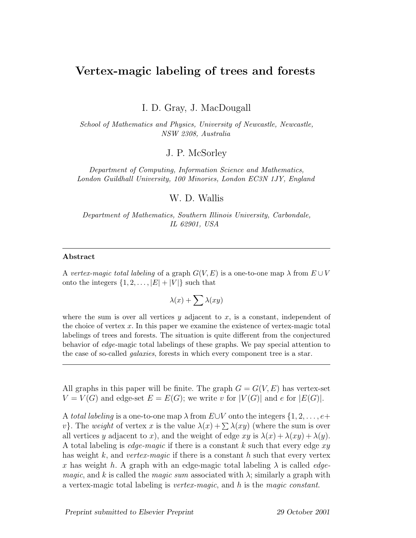# **Vertex-magic labeling of trees and forests**

I. D. Gray, J. MacDougall

School of Mathematics and Physics, University of Newcastle, Newcastle, NSW 2308, Australia

### J. P. McSorley

Department of Computing, Information Science and Mathematics, London Guildhall University, 100 Minories, London EC3N 1JY, England

#### W. D. Wallis

Department of Mathematics, Southern Illinois University, Carbondale, IL 62901, USA

#### **Abstract**

A vertex-magic total labeling of a graph  $G(V, E)$  is a one-to-one map  $\lambda$  from  $E \cup V$ onto the integers  $\{1, 2, \ldots, |E| + |V|\}$  such that

$$
\lambda(x) + \sum \lambda(xy)
$$

where the sum is over all vertices  $y$  adjacent to  $x$ , is a constant, independent of the choice of vertex *x*. In this paper we examine the existence of vertex-magic total labelings of trees and forests. The situation is quite different from the conjectured behavior of edge-magic total labelings of these graphs. We pay special attention to the case of so-called *galaxies*, forests in which every component tree is a star.

All graphs in this paper will be finite. The graph  $G = G(V, E)$  has vertex-set  $V = V(G)$  and edge-set  $E = E(G)$ ; we write v for  $|V(G)|$  and e for  $|E(G)|$ .

A total labeling is a one-to-one map  $\lambda$  from  $E\cup V$  onto the integers  $\{1, 2, \ldots, e+\}$ v}. The weight of vertex x is the value  $\lambda(x) + \sum \lambda(xy)$  (where the sum is over all vertices y adjacent to x), and the weight of edge  $xy$  is  $\lambda(x) + \lambda(xy) + \lambda(y)$ . A total labeling is *edge-magic* if there is a constant k such that every edge  $xy$ has weight k, and vertex-magic if there is a constant h such that every vertex x has weight h. A graph with an edge-magic total labeling  $\lambda$  is called *edgemagic*, and k is called the *magic sum* associated with  $\lambda$ ; similarly a graph with a vertex-magic total labeling is *vertex-magic*, and  $h$  is the magic constant.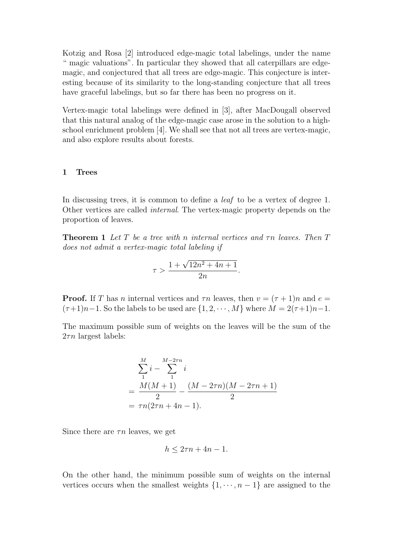Kotzig and Rosa [2] introduced edge-magic total labelings, under the name " magic valuations". In particular they showed that all caterpillars are edgemagic, and conjectured that all trees are edge-magic. This conjecture is interesting because of its similarity to the long-standing conjecture that all trees have graceful labelings, but so far there has been no progress on it.

Vertex-magic total labelings were defined in [3], after MacDougall observed that this natural analog of the edge-magic case arose in the solution to a highschool enrichment problem [4]. We shall see that not all trees are vertex-magic, and also explore results about forests.

#### **1 Trees**

In discussing trees, it is common to define a *leaf* to be a vertex of degree 1. Other vertices are called internal. The vertex-magic property depends on the proportion of leaves.

**Theorem 1** Let T be a tree with n internal vertices and  $\tau n$  leaves. Then T does not admit a vertex-magic total labeling if

$$
\tau > \frac{1 + \sqrt{12n^2 + 4n + 1}}{2n}.
$$

**Proof.** If T has n internal vertices and  $\tau n$  leaves, then  $v = (\tau + 1)n$  and  $e =$  $(\tau+1)n-1$ . So the labels to be used are  $\{1, 2, \cdots, M\}$  where  $M = 2(\tau+1)n-1$ .

The maximum possible sum of weights on the leaves will be the sum of the  $2\tau n$  largest labels:

$$
\sum_{1}^{M} i - \sum_{1}^{M-2\tau n} i
$$
  
= 
$$
\frac{M(M+1)}{2} - \frac{(M-2\tau n)(M-2\tau n+1)}{2}
$$
  
= 
$$
\tau n(2\tau n + 4n - 1).
$$

Since there are  $\tau n$  leaves, we get

$$
h \le 2\tau n + 4n - 1.
$$

On the other hand, the minimum possible sum of weights on the internal vertices occurs when the smallest weights  $\{1, \dots, n-1\}$  are assigned to the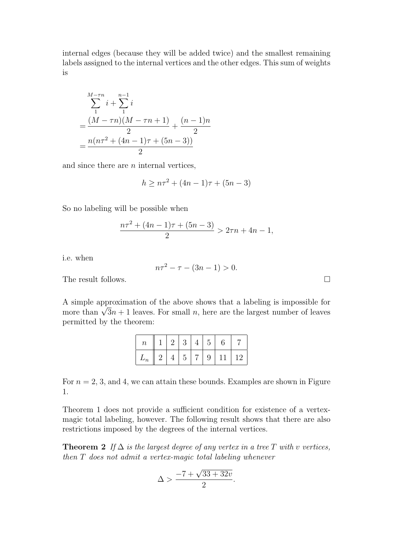internal edges (because they will be added twice) and the smallest remaining labels assigned to the internal vertices and the other edges. This sum of weights is

$$
\sum_{1}^{M-\tau n} i + \sum_{1}^{n-1} i
$$
  
= 
$$
\frac{(M-\tau n)(M-\tau n+1)}{2} + \frac{(n-1)n}{2}
$$
  
= 
$$
\frac{n(n\tau^2 + (4n-1)\tau + (5n-3))}{2}
$$

and since there are  $n$  internal vertices,

$$
h \ge n\tau^2 + (4n - 1)\tau + (5n - 3)
$$

So no labeling will be possible when

$$
\frac{n\tau^2 + (4n - 1)\tau + (5n - 3)}{2} > 2\tau n + 4n - 1,
$$

i.e. when

$$
n\tau^2 - \tau - (3n - 1) > 0.
$$

The result follows.

A simple approximation of the above shows that a labeling is impossible for more than  $\sqrt{3}n+1$  leaves. For small n, here are the largest number of leaves permitted by the theorem:

| $\boldsymbol{n}$ |    | 2       | 3              |                | .b |             |         |
|------------------|----|---------|----------------|----------------|----|-------------|---------|
| $L_n$            | ٠, | $\perp$ | 5 <sup>5</sup> | $\overline{2}$ |    | $9 \mid 11$ | $\pm 2$ |

For  $n = 2, 3$ , and 4, we can attain these bounds. Examples are shown in Figure 1.

Theorem 1 does not provide a sufficient condition for existence of a vertexmagic total labeling, however. The following result shows that there are also restrictions imposed by the degrees of the internal vertices.

**Theorem 2** If  $\Delta$  is the largest degree of any vertex in a tree T with v vertices, then T does not admit a vertex-magic total labeling whenever

$$
\Delta > \frac{-7 + \sqrt{33 + 32v}}{2}.
$$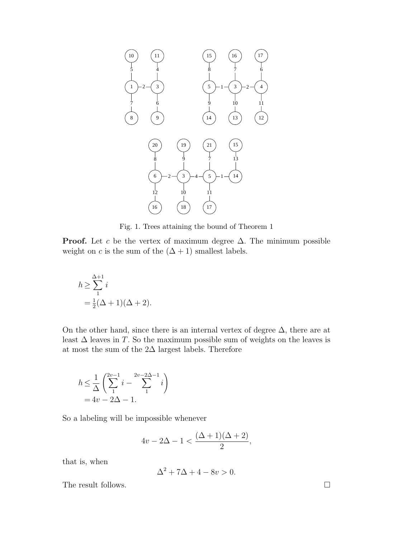

Fig. 1. Trees attaining the bound of Theorem 1

**Proof.** Let c be the vertex of maximum degree  $\Delta$ . The minimum possible weight on c is the sum of the  $(\Delta + 1)$  smallest labels.

$$
h \ge \sum_{1}^{\Delta+1} i
$$
  
=  $\frac{1}{2}(\Delta+1)(\Delta+2)$ .

On the other hand, since there is an internal vertex of degree  $\Delta$ , there are at least  $\Delta$  leaves in T. So the maximum possible sum of weights on the leaves is at most the sum of the  $2\Delta$  largest labels. Therefore

$$
\begin{array}{l} \hbar \leq \frac{1}{\Delta} \left( \sum\limits_{1}^{2v-1} i - \sum\limits_{1}^{2v-2\Delta-1} i \right) \\ = 4v - 2\Delta - 1. \end{array}
$$

So a labeling will be impossible whenever

$$
4v - 2\Delta - 1 < \frac{(\Delta + 1)(\Delta + 2)}{2},
$$

that is, when

$$
\Delta^2 + 7\Delta + 4 - 8v > 0.
$$

The result follows.  $\Box$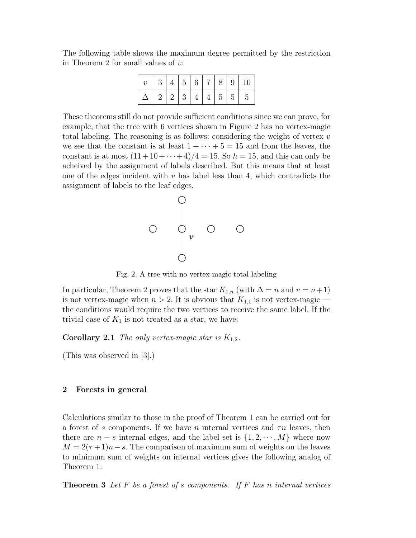The following table shows the maximum degree permitted by the restriction in Theorem 2 for small values of  $v$ :

|  |  |  |  | 3   4   5   6   7   8   9   10 |
|--|--|--|--|--------------------------------|
|  |  |  |  | 12 2 3 4 4 5 55                |

These theorems still do not provide sufficient conditions since we can prove, for example, that the tree with 6 vertices shown in Figure 2 has no vertex-magic total labeling. The reasoning is as follows: considering the weight of vertex  $v$ we see that the constant is at least  $1 + \cdots + 5 = 15$  and from the leaves, the constant is at most  $(11+10+\cdots+4)/4 = 15$ . So  $h = 15$ , and this can only be acheived by the assignment of labels described. But this means that at least one of the edges incident with  $v$  has label less than 4, which contradicts the assignment of labels to the leaf edges.



Fig. 2. A tree with no vertex-magic total labeling

In particular, Theorem 2 proves that the star  $K_{1,n}$  (with  $\Delta = n$  and  $v = n+1$ ) is not vertex-magic when  $n > 2$ . It is obvious that  $K_{1,1}$  is not vertex-magic the conditions would require the two vertices to receive the same label. If the trivial case of  $K_1$  is not treated as a star, we have:

**Corollary 2.1** The only vertex-magic star is  $K_{1,2}$ .

(This was observed in [3].)

#### **2 Forests in general**

Calculations similar to those in the proof of Theorem 1 can be carried out for a forest of s components. If we have n internal vertices and  $\tau n$  leaves, then there are  $n - s$  internal edges, and the label set is  $\{1, 2, \dots, M\}$  where now  $M = 2(\tau + 1)n - s$ . The comparison of maximum sum of weights on the leaves to minimum sum of weights on internal vertices gives the following analog of Theorem 1:

**Theorem 3** Let  $F$  be a forest of s components. If  $F$  has n internal vertices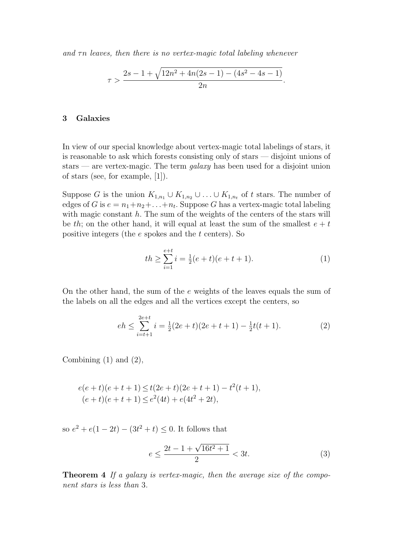and  $\tau n$  leaves, then there is no vertex-magic total labeling whenever

$$
\tau > \frac{2s - 1 + \sqrt{12n^2 + 4n(2s - 1) - (4s^2 - 4s - 1)}}{2n}.
$$

#### **3 Galaxies**

In view of our special knowledge about vertex-magic total labelings of stars, it is reasonable to ask which forests consisting only of stars — disjoint unions of stars — are vertex-magic. The term  $qalaxy$  has been used for a disjoint union of stars (see, for example, [1]).

Suppose G is the union  $K_{1,n_1} \cup K_{1,n_2} \cup \ldots \cup K_{1,n_t}$  of t stars. The number of edges of G is  $e = n_1 + n_2 + \ldots + n_t$ . Suppose G has a vertex-magic total labeling with magic constant  $h$ . The sum of the weights of the centers of the stars will be th; on the other hand, it will equal at least the sum of the smallest  $e + t$ positive integers (the  $e$  spokes and the  $t$  centers). So

$$
th \ge \sum_{i=1}^{e+t} i = \frac{1}{2}(e+t)(e+t+1). \tag{1}
$$

On the other hand, the sum of the e weights of the leaves equals the sum of the labels on all the edges and all the vertices except the centers, so

$$
eh \le \sum_{i=t+1}^{2e+t} i = \frac{1}{2}(2e+t)(2e+t+1) - \frac{1}{2}t(t+1).
$$
 (2)

Combining  $(1)$  and  $(2)$ ,

$$
e(e+t)(e+t+1) \le t(2e+t)(2e+t+1) - t^2(t+1),
$$
  
\n
$$
(e+t)(e+t+1) \le e^2(4t) + e(4t^2+2t),
$$

so  $e^2 + e(1 - 2t) - (3t^2 + t) \leq 0$ . It follows that

$$
e \le \frac{2t - 1 + \sqrt{16t^2 + 1}}{2} < 3t. \tag{3}
$$

**Theorem 4** If a galaxy is vertex-magic, then the average size of the component stars is less than 3.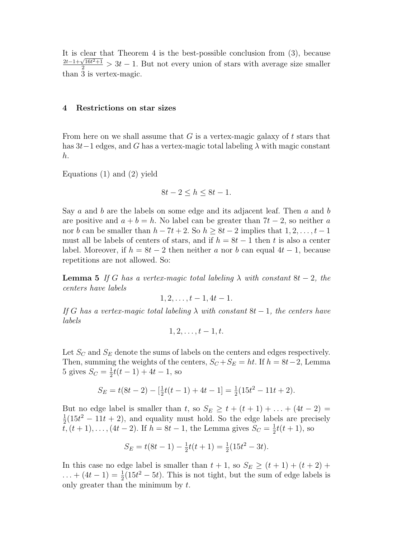It is clear that Theorem 4 is the best-possible conclusion from (3), because  $\frac{2t-1+\sqrt{16t^2+1}}{2}$  > 3t − 1. But not every union of stars with average size smaller than 3 is vertex-magic.

#### **4 Restrictions on star sizes**

From here on we shall assume that  $G$  is a vertex-magic galaxy of  $t$  stars that has  $3t-1$  edges, and G has a vertex-magic total labeling  $\lambda$  with magic constant h.

Equations (1) and (2) yield

$$
8t - 2 \le h \le 8t - 1.
$$

Say a and b are the labels on some edge and its adjacent leaf. Then a and b are positive and  $a + b = h$ . No label can be greater than  $7t - 2$ , so neither a nor b can be smaller than  $h - 7t + 2$ . So  $h \ge 8t - 2$  implies that  $1, 2, \ldots, t - 1$ must all be labels of centers of stars, and if  $h = 8t - 1$  then t is also a center label. Moreover, if  $h = 8t - 2$  then neither a nor b can equal  $4t - 1$ , because repetitions are not allowed. So:

**Lemma 5** If G has a vertex-magic total labeling  $\lambda$  with constant  $8t - 2$ , the centers have labels

$$
1, 2, \ldots, t-1, 4t-1.
$$

If G has a vertex-magic total labeling  $\lambda$  with constant 8t – 1, the centers have labels

$$
1,2,\ldots,t-1,t.
$$

Let  $S_C$  and  $S_E$  denote the sums of labels on the centers and edges respectively. Then, summing the weights of the centers,  $S_C + S_E = ht$ . If  $h = 8t-2$ , Lemma 5 gives  $S_C = \frac{1}{2}t(t-1) + 4t - 1$ , so

$$
S_E = t(8t - 2) - \left[\frac{1}{2}t(t - 1) + 4t - 1\right] = \frac{1}{2}(15t^2 - 11t + 2).
$$

But no edge label is smaller than t, so  $S_E \ge t + (t + 1) + \ldots + (4t - 2) =$  $\frac{1}{2}(15t^2 - 11t + 2)$ , and equality must hold. So the edge labels are precisely  $\bar{t}$ ,  $(t + 1)$ ,...,  $(4t - 2)$ . If  $h = 8t - 1$ , the Lemma gives  $S_C = \frac{1}{2}t(t + 1)$ , so

$$
S_E = t(8t - 1) - \frac{1}{2}t(t + 1) = \frac{1}{2}(15t^2 - 3t).
$$

In this case no edge label is smaller than  $t + 1$ , so  $S_E \ge (t + 1) + (t + 2) +$  $\dots + (4t - 1) = \frac{1}{2}(15t^2 - 5t)$ . This is not tight, but the sum of edge labels is only greater than the minimum by  $t$ .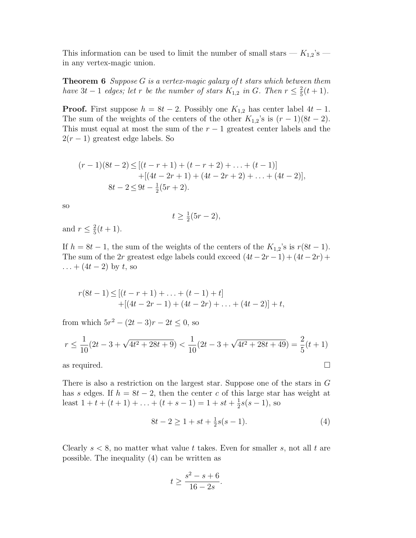This information can be used to limit the number of small stars —  $K_{1,2}$ 's in any vertex-magic union.

**Theorem 6** Suppose G is a vertex-magic galaxy of t stars which between them have  $3t - 1$  edges; let r be the number of stars  $K_{1,2}$  in G. Then  $r \leq \frac{2}{5}(t+1)$ .

**Proof.** First suppose  $h = 8t - 2$ . Possibly one  $K_{1,2}$  has center label  $4t - 1$ . The sum of the weights of the centers of the other  $K_{1,2}$ 's is  $(r-1)(8t-2)$ . This must equal at most the sum of the  $r-1$  greatest center labels and the  $2(r-1)$  greatest edge labels. So

$$
(r-1)(8t-2) \le [(t-r+1) + (t-r+2) + \dots + (t-1)]
$$
  
+[(4t-2r+1) + (4t-2r+2) + \dots + (4t-2)],  
8t-2 \le 9t - \frac{1}{2}(5r+2).

so

$$
t \ge \frac{1}{2}(5r - 2),
$$

and  $r \leq \frac{2}{5}(t+1)$ .

If  $h = 8t - 1$ , the sum of the weights of the centers of the  $K_{1,2}$ 's is  $r(8t - 1)$ . The sum of the 2r greatest edge labels could exceed  $(4t-2r-1)+(4t-2r)+$  $... + (4t - 2)$  by t, so

$$
r(8t-1) \le [(t-r+1) + ... + (t-1) + t] + [(4t-2r-1) + (4t-2r) + ... + (4t-2)] + t,
$$

from which  $5r^2 - (2t - 3)r - 2t \le 0$ , so

$$
r \le \frac{1}{10}(2t - 3 + \sqrt{4t^2 + 28t + 9}) < \frac{1}{10}(2t - 3 + \sqrt{4t^2 + 28t + 49}) = \frac{2}{5}(t + 1)
$$

as required.  $\square$ 

There is also a restriction on the largest star. Suppose one of the stars in G has s edges. If  $h = 8t - 2$ , then the center c of this large star has weight at least  $1 + t + (t + 1) + \ldots + (t + s - 1) = 1 + st + \frac{1}{2}s(s - 1)$ , so

$$
8t - 2 \ge 1 + st + \frac{1}{2}s(s - 1). \tag{4}
$$

Clearly  $s < 8$ , no matter what value t takes. Even for smaller s, not all t are possible. The inequality (4) can be written as

$$
t \ge \frac{s^2 - s + 6}{16 - 2s}.
$$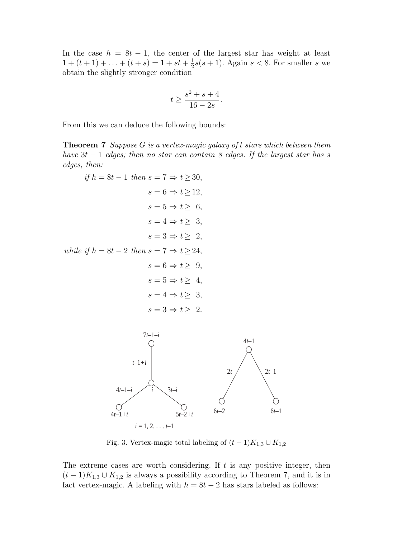In the case  $h = 8t - 1$ , the center of the largest star has weight at least  $1 + (t + 1) + \ldots + (t + s) = 1 + st + \frac{1}{2}s(s + 1)$ . Again  $s < 8$ . For smaller s we obtain the slightly stronger condition

$$
t \ge \frac{s^2 + s + 4}{16 - 2s}.
$$

From this we can deduce the following bounds:

**Theorem 7** Suppose G is a vertex-magic galaxy of t stars which between them have  $3t - 1$  edges; then no star can contain 8 edges. If the largest star has s edges, then:

$$
if h = 8t - 1 then s = 7 \Rightarrow t \ge 30,
$$
  
\n
$$
s = 6 \Rightarrow t \ge 12,
$$
  
\n
$$
s = 5 \Rightarrow t \ge 6,
$$
  
\n
$$
s = 4 \Rightarrow t \ge 3,
$$
  
\n
$$
s = 3 \Rightarrow t \ge 2,
$$
  
\nwhile if h = 8t - 2 then  $s = 7 \Rightarrow t \ge 24,$   
\n
$$
s = 6 \Rightarrow t \ge 9,
$$
  
\n
$$
s = 5 \Rightarrow t \ge 4,
$$
  
\n
$$
s = 4 \Rightarrow t \ge 3,
$$
  
\n
$$
s = 3 \Rightarrow t \ge 2.
$$



Fig. 3. Vertex-magic total labeling of  $(t − 1)K_{1,3} ∪ K_{1,2}$ 

The extreme cases are worth considering. If  $t$  is any positive integer, then  $(t-1)K_{1,3}\cup K_{1,2}$  is always a possibility according to Theorem 7, and it is in fact vertex-magic. A labeling with  $h = 8t - 2$  has stars labeled as follows: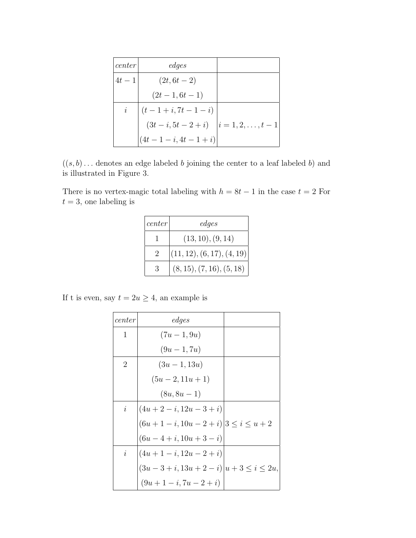| center         | edges                  |                         |
|----------------|------------------------|-------------------------|
| $4t-1$         | $(2t, 6t - 2)$         |                         |
|                | $(2t-1, 6t-1)$         |                         |
| $\dot{\imath}$ | $(t-1+i, 7t-1-i)$      |                         |
|                | $(3t - i, 5t - 2 + i)$ | $i = 1, 2, \ldots, t-1$ |
|                | $(4t-1-i, 4t-1+i)$     |                         |

 $((s, b) \dots$  denotes an edge labeled b joining the center to a leaf labeled b) and is illustrated in Figure 3.

There is no vertex-magic total labeling with  $h = 8t - 1$  in the case  $t = 2$  For  $t = 3$ , one labeling is

| center | edges                      |
|--------|----------------------------|
|        | (13, 10), (9, 14)          |
|        | (11, 12), (6, 17), (4, 19) |
|        | (8, 15), (7, 16), (5, 18)  |

If t is even, say  $t = 2u \geq 4$ , an example is

| center         | edges                                   |  |
|----------------|-----------------------------------------|--|
| 1              | $(7u-1, 9u)$                            |  |
|                | $(9u-1,7u)$                             |  |
| 2              | $(3u-1, 13u)$                           |  |
|                | $(5u-2, 11u+1)$                         |  |
|                | $(8u, 8u - 1)$                          |  |
| $\dot{i}$      | $(4u+2-i, 12u-3+i)$                     |  |
|                | $(6u+1-i, 10u-2+i)$ $3 \leq i \leq u+2$ |  |
|                | $(6u-4+i, 10u+3-i)$                     |  |
| $\dot{\imath}$ | $(4u+1-i, 12u-2+i)$                     |  |
|                | $(3u-3+i, 13u+2-i) u+3 \le i \le 2u,$   |  |
|                | $(9u+1-i, 7u-2+i)$                      |  |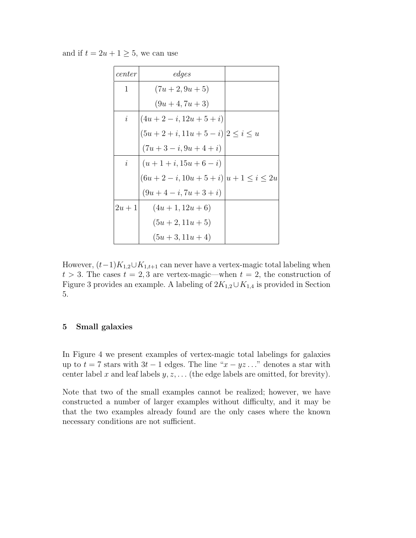and if  $t = 2u + 1 \geq 5$ , we can use

| center         | edges                                      |  |
|----------------|--------------------------------------------|--|
| 1              | $(7u+2, 9u+5)$                             |  |
|                | $(9u+4, 7u+3)$                             |  |
| $\dot{\imath}$ | $(4u+2-i, 12u+5+i)$                        |  |
|                | $(5u+2+i, 11u+5-i)$ $\big 2 \leq i \leq u$ |  |
|                | $(7u+3-i, 9u+4+i)$                         |  |
| $\dot{i}$      | $(u+1+i, 15u+6-i)$                         |  |
|                | $(6u+2-i, 10u+5+i) u+1 \leq i \leq 2u$     |  |
|                | $(9u+4-i, 7u+3+i)$                         |  |
| $2u+1$         | $(4u+1, 12u+6)$                            |  |
|                | $(5u+2, 11u+5)$                            |  |
|                | $(5u + 3, 11u + 4)$                        |  |

However,  $(t-1)K_{1,2}\cup K_{1,t+1}$  can never have a vertex-magic total labeling when  $t > 3$ . The cases  $t = 2, 3$  are vertex-magic—when  $t = 2$ , the construction of Figure 3 provides an example. A labeling of  $2K_{1,2}\cup K_{1,4}$  is provided in Section 5.

#### **5 Small galaxies**

In Figure 4 we present examples of vertex-magic total labelings for galaxies up to  $t = 7$  stars with  $3t - 1$  edges. The line " $x - yz$ ..." denotes a star with center label x and leaf labels  $y, z, \ldots$  (the edge labels are omitted, for brevity).

Note that two of the small examples cannot be realized; however, we have constructed a number of larger examples without difficulty, and it may be that the two examples already found are the only cases where the known necessary conditions are not sufficient.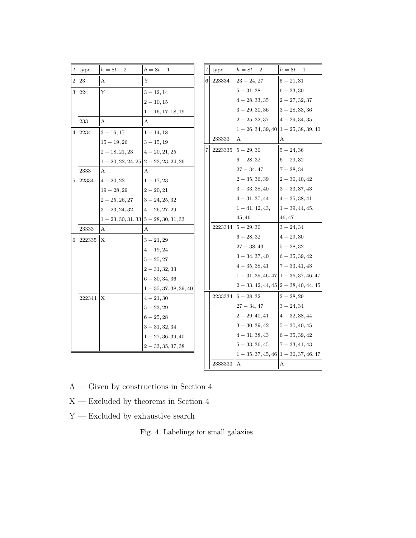|   | $t$ type   | $h=8t-2$                              | $h = 8t - 1$             |                | $t$ type | $h = 8t - 2$                                | $h = 8t - 1$                              |
|---|------------|---------------------------------------|--------------------------|----------------|----------|---------------------------------------------|-------------------------------------------|
|   | $2\, \,23$ | А                                     | Υ                        |                | 6 223334 | $23 - 24, 27$                               | $5 - 21, 31$                              |
|   | 3 224      | Y                                     | $3 - 12, 14$             |                |          | $5 - 31,38$                                 | $6 - 23,30$                               |
|   |            |                                       | $2 - 10, 15$             |                |          | $4 - 28, 33, 35$                            | $2-27, 32, 37$                            |
|   |            |                                       | $1 - 16, 17, 18, 19$     |                |          | $3 - 29, 30, 36$                            | $3 - 28, 33, 36$                          |
|   | 233        | А                                     | A                        |                |          | $2-25, 32, 37$                              | $4 - 29, 34, 35$                          |
| 4 | 2234       | $3 - 16, 17$                          | $1 - 14, 18$             |                |          |                                             | $1 - 26, 34, 39, 40$ $1 - 25, 38, 39, 40$ |
|   |            | $15 - 19, 26$                         | $3 - 15, 19$             |                | 233333   | A                                           | А                                         |
|   |            | $2-18, 21, 23$                        | $4-20, 21, 25$           | $\overline{7}$ |          | $\left  \frac{2223335}{5} - 29, 30 \right $ | $5 - 24,36$                               |
|   |            | $1-20, 22, 24, 25$ $2-22, 23, 24, 26$ |                          |                |          | $6 - 28, 32$                                | $6 - 29, 32$                              |
|   | 2333       | A                                     | A                        |                |          | $27 - 34, 47$                               | $7 - 28, 34$                              |
| 5 | 22334      | $4 - 20, 22$                          | $1 - 17, 23$             |                |          | $2 - 35, 36, 39$                            | $2 - 30, 40, 42$                          |
|   |            | $19 - 28, 29$                         | $2 - 20, 21$             |                |          | $3 - 33, 38, 40$                            | $3 - 33, 37, 43$                          |
|   |            | $2-25, 26, 27$                        | $3 - 24, 25, 32$         |                |          | $4 - 31, 37, 44$                            | $4 - 35, 38, 41$                          |
|   |            | $3 - 23, 24, 32$                      | $4 - 26, 27, 29$         |                |          | $1 - 41, 42, 43,$                           | $1 - 39, 44, 45,$                         |
|   |            | $1-23, 30, 31, 33$ $5-28, 30, 31, 33$ |                          |                |          | 45, 46                                      | 46, 47                                    |
|   | 23333      | $\mathsf{A}$                          | A                        |                |          | $2223344$   $5 - 29, 30$                    | $3 - 24, 34$                              |
| 6 | 222335 X   |                                       | $3 - 21, 29$             |                |          | $6 - 28,32$                                 | $4 - 29, 30$                              |
|   |            |                                       | $4 - 19, 24$             |                |          | $27 - 38,43$                                | $5 - 28,32$                               |
|   |            |                                       | $5 - 25, 27$             |                |          | $3 - 34, 37, 40$                            | $6 - 35, 39, 42$                          |
|   |            |                                       | $2 - 31, 32, 33$         |                |          | $4 - 35, 38, 41$                            | $7 - 33, 41, 43$                          |
|   |            |                                       | $6 - 30, 34, 36$         |                |          | $1 - 31, 39, 46, 47$ $1 - 36, 37, 46, 47$   |                                           |
|   |            |                                       | $1 - 35, 37, 38, 39, 40$ |                |          |                                             | $2-33, 42, 44, 45$ $2-38, 40, 44, 45$     |
|   | 222344     | ΙX                                    | $4 - 21,30$              |                |          | $2233334$ 6 - 28, 32                        | $2 - 28, 29$                              |
|   |            |                                       | $5 - 23, 29$             |                |          | $27 - 34,47$                                | $3 - 24, 34$                              |
|   |            |                                       | $6 - 25, 28$             |                |          | $2-29, 40, 41$                              | $4 - 32, 38, 44$                          |
|   |            |                                       | $3 - 31, 32, 34$         |                |          | $3 - 30, 39, 42$                            | $5 - 30, 40, 45$                          |
|   |            |                                       | $1 - 27, 36, 39, 40$     |                |          | $4-31, 38, 43$                              | $6 - 35, 39, 42$                          |
|   |            |                                       | $2 - 33, 35, 37, 38$     |                |          | $5 - 33, 36, 45$                            | $7 - 33, 41, 43$                          |
|   |            |                                       |                          |                |          | $1-35, 37, 45, 46$ $1-36, 37, 46, 47$       |                                           |
|   |            |                                       |                          |                | 2333333  | II A                                        | А                                         |

- $\rm A-Given$  by constructions in Section  $4$
- $\mathbf{X}$  Excluded by theorems in Section 4
- $\mathbf{Y}-\mathbf{Excluded}$  by exhaustive search

Fig. 4. Labelings for small galaxies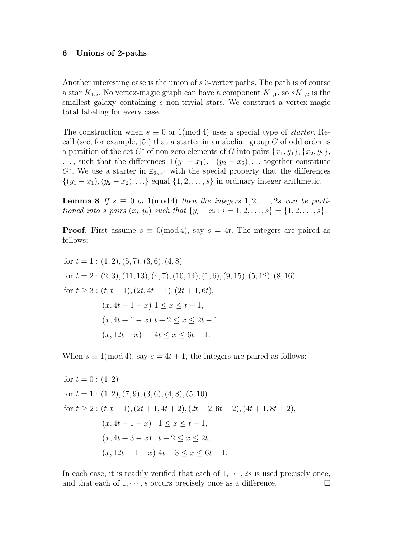#### **6 Unions of 2-paths**

Another interesting case is the union of s 3-vertex paths. The path is of course a star  $K_{1,2}$ . No vertex-magic graph can have a component  $K_{1,1}$ , so  $sK_{1,2}$  is the smallest galaxy containing s non-trivial stars. We construct a vertex-magic total labeling for every case.

The construction when  $s \equiv 0$  or 1(mod 4) uses a special type of *starter*. Recall (see, for example,  $[5]$ ) that a starter in an abelian group G of odd order is a partition of the set  $G^*$  of non-zero elements of G into pairs  $\{x_1, y_1\}, \{x_2, y_2\},$  $\ldots$ , such that the differences  $\pm(y_1 - x_1), \pm(y_2 - x_2), \ldots$  together constitute  $G^*$ . We use a starter in  $\mathbb{Z}_{2s+1}$  with the special property that the differences  $\{(y_1 - x_1), (y_2 - x_2), \ldots\}$  equal  $\{1, 2, \ldots, s\}$  in ordinary integer arithmetic.

**Lemma 8** If  $s \equiv 0$  or 1(mod4) then the integers  $1, 2, \ldots, 2s$  can be partitioned into s pairs  $(x_i, y_i)$  such that  $\{y_i - x_i : i = 1, 2, ..., s\} = \{1, 2, ..., s\}.$ 

**Proof.** First assume  $s \equiv 0 \pmod{4}$ , say  $s = 4t$ . The integers are paired as follows:

for 
$$
t = 1 : (1, 2), (5, 7), (3, 6), (4, 8)
$$
  
\nfor  $t = 2 : (2, 3), (11, 13), (4, 7), (10, 14), (1, 6), (9, 15), (5, 12), (8, 16)$   
\nfor  $t \ge 3 : (t, t + 1), (2t, 4t - 1), (2t + 1, 6t),$   
\n $(x, 4t - 1 - x) \quad 1 \le x \le t - 1,$   
\n $(x, 4t + 1 - x) \quad t + 2 \le x \le 2t - 1,$   
\n $(x, 12t - x) \quad 4t \le x \le 6t - 1.$ 

When  $s \equiv 1 \pmod{4}$ , say  $s = 4t + 1$ , the integers are paired as follows:

for 
$$
t = 0
$$
: (1, 2)  
\nfor  $t = 1$ : (1, 2), (7, 9), (3, 6), (4, 8), (5, 10)  
\nfor  $t \ge 2$ :  $(t, t + 1), (2t + 1, 4t + 2), (2t + 2, 6t + 2), (4t + 1, 8t + 2),$   
\n $(x, 4t + 1 - x)$   $1 \le x \le t - 1,$   
\n $(x, 4t + 3 - x)$   $t + 2 \le x \le 2t,$   
\n $(x, 12t - 1 - x)$   $4t + 3 \le x \le 6t + 1.$ 

In each case, it is readily verified that each of  $1, \dots, 2s$  is used precisely once, and that each of  $1, \dots, s$  occurs precisely once as a difference.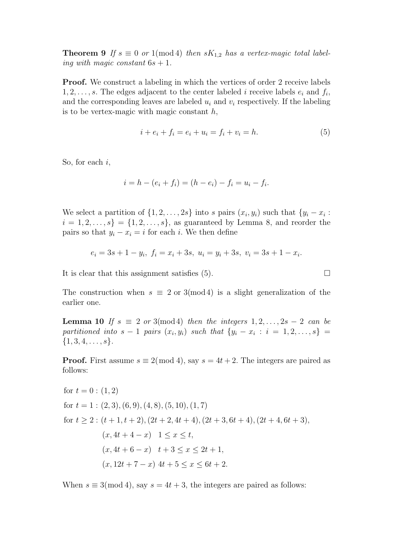**Theorem 9** If  $s \equiv 0$  or 1(mod 4) then  $sK_{1,2}$  has a vertex-magic total labeling with magic constant  $6s + 1$ .

**Proof.** We construct a labeling in which the vertices of order 2 receive labels  $1, 2, \ldots, s$ . The edges adjacent to the center labeled i receive labels  $e_i$  and  $f_i$ , and the corresponding leaves are labeled  $u_i$  and  $v_i$  respectively. If the labeling is to be vertex-magic with magic constant  $h$ ,

$$
i + e_i + f_i = e_i + u_i = f_i + v_i = h.
$$
\n(5)

So, for each  $i$ ,

$$
i = h - (e_i + f_i) = (h - e_i) - f_i = u_i - f_i.
$$

We select a partition of  $\{1, 2, \ldots, 2s\}$  into s pairs  $(x_i, y_i)$  such that  $\{y_i - x_i :$  $i = 1, 2, \ldots, s$  = {1, 2, \dots, \langs \rangs \rangs \rangs \rangs \rangs \rangs \rangs \rangs \rangs \rangs \rangs \rangs \rangs \rangs \rangs \rangs \rangs \rangs \rangs \rangs \rangs \rangs \rangs \rangs \rangs \rangs pairs so that  $y_i - x_i = i$  for each i. We then define

$$
e_i = 3s + 1 - y_i, \ f_i = x_i + 3s, \ u_i = y_i + 3s, \ v_i = 3s + 1 - x_i.
$$

It is clear that this assignment satisfies (5).

The construction when  $s \equiv 2 \text{ or } 3 \pmod{4}$  is a slight generalization of the earlier one.

**Lemma 10** If  $s \equiv 2$  or 3(mod4) then the integers  $1, 2, \ldots, 2s - 2$  can be partitioned into  $s - 1$  pairs  $(x_i, y_i)$  such that  $\{y_i - x_i : i = 1, 2, \ldots, s\}$  $\{1, 3, 4, \ldots, s\}.$ 

**Proof.** First assume  $s \equiv 2 \pmod{4}$ , say  $s = 4t + 2$ . The integers are paired as follows:

for 
$$
t = 0
$$
: (1, 2)  
\nfor  $t = 1$ : (2, 3), (6, 9), (4, 8), (5, 10), (1, 7)  
\nfor  $t \ge 2$ :  $(t + 1, t + 2)$ ,  $(2t + 2, 4t + 4)$ ,  $(2t + 3, 6t + 4)$ ,  $(2t + 4, 6t + 3)$ ,  
\n $(x, 4t + 4 - x)$   $1 \le x \le t$ ,  
\n $(x, 4t + 6 - x)$   $t + 3 \le x \le 2t + 1$ ,  
\n $(x, 12t + 7 - x)$   $4t + 5 \le x \le 6t + 2$ .

When  $s \equiv 3 \pmod{4}$ , say  $s = 4t + 3$ , the integers are paired as follows:

$$
\Box
$$